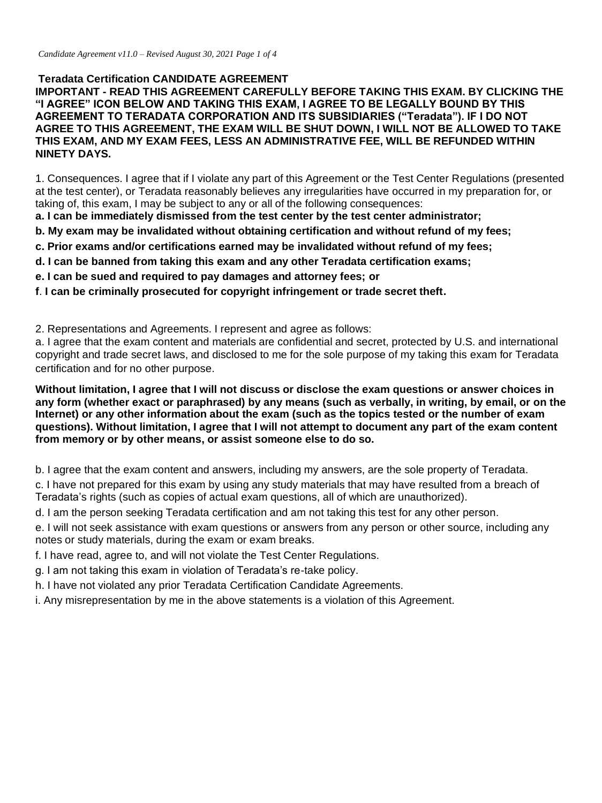## **Teradata Certification CANDIDATE AGREEMENT**

**IMPORTANT - READ THIS AGREEMENT CAREFULLY BEFORE TAKING THIS EXAM. BY CLICKING THE "I AGREE" ICON BELOW AND TAKING THIS EXAM, I AGREE TO BE LEGALLY BOUND BY THIS AGREEMENT TO TERADATA CORPORATION AND ITS SUBSIDIARIES ("Teradata"). IF I DO NOT AGREE TO THIS AGREEMENT, THE EXAM WILL BE SHUT DOWN, I WILL NOT BE ALLOWED TO TAKE THIS EXAM, AND MY EXAM FEES, LESS AN ADMINISTRATIVE FEE, WILL BE REFUNDED WITHIN NINETY DAYS.** 

1. Consequences. I agree that if I violate any part of this Agreement or the Test Center Regulations (presented at the test center), or Teradata reasonably believes any irregularities have occurred in my preparation for, or taking of, this exam, I may be subject to any or all of the following consequences:

**a. I can be immediately dismissed from the test center by the test center administrator;** 

- **b. My exam may be invalidated without obtaining certification and without refund of my fees;**
- **c. Prior exams and/or certifications earned may be invalidated without refund of my fees;**
- **d. I can be banned from taking this exam and any other Teradata certification exams;**
- **e. I can be sued and required to pay damages and attorney fees; or**
- **f**. **I can be criminally prosecuted for copyright infringement or trade secret theft.**

2. Representations and Agreements. I represent and agree as follows:

a. I agree that the exam content and materials are confidential and secret, protected by U.S. and international copyright and trade secret laws, and disclosed to me for the sole purpose of my taking this exam for Teradata certification and for no other purpose.

**Without limitation, I agree that I will not discuss or disclose the exam questions or answer choices in any form (whether exact or paraphrased) by any means (such as verbally, in writing, by email, or on the Internet) or any other information about the exam (such as the topics tested or the number of exam questions). Without limitation, I agree that I will not attempt to document any part of the exam content from memory or by other means, or assist someone else to do so.** 

b. I agree that the exam content and answers, including my answers, are the sole property of Teradata.

c. I have not prepared for this exam by using any study materials that may have resulted from a breach of Teradata's rights (such as copies of actual exam questions, all of which are unauthorized).

d. I am the person seeking Teradata certification and am not taking this test for any other person.

e. I will not seek assistance with exam questions or answers from any person or other source, including any notes or study materials, during the exam or exam breaks.

f. I have read, agree to, and will not violate the Test Center Regulations.

g. I am not taking this exam in violation of Teradata's re-take policy.

h. I have not violated any prior Teradata Certification Candidate Agreements.

i. Any misrepresentation by me in the above statements is a violation of this Agreement.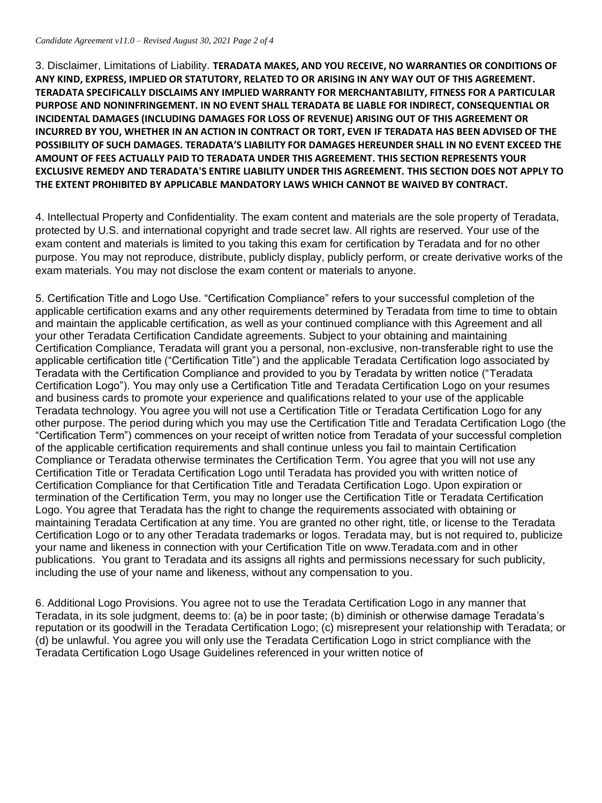3. Disclaimer, Limitations of Liability. **TERADATA MAKES, AND YOU RECEIVE, NO WARRANTIES OR CONDITIONS OF ANY KIND, EXPRESS, IMPLIED OR STATUTORY, RELATED TO OR ARISING IN ANY WAY OUT OF THIS AGREEMENT. TERADATA SPECIFICALLY DISCLAIMS ANY IMPLIED WARRANTY FOR MERCHANTABILITY, FITNESS FOR A PARTICULAR PURPOSE AND NONINFRINGEMENT. IN NO EVENT SHALL TERADATA BE LIABLE FOR INDIRECT, CONSEQUENTIAL OR INCIDENTAL DAMAGES (INCLUDING DAMAGES FOR LOSS OF REVENUE) ARISING OUT OF THIS AGREEMENT OR INCURRED BY YOU, WHETHER IN AN ACTION IN CONTRACT OR TORT, EVEN IF TERADATA HAS BEEN ADVISED OF THE POSSIBILITY OF SUCH DAMAGES. TERADATA'S LIABILITY FOR DAMAGES HEREUNDER SHALL IN NO EVENT EXCEED THE AMOUNT OF FEES ACTUALLY PAID TO TERADATA UNDER THIS AGREEMENT. THIS SECTION REPRESENTS YOUR EXCLUSIVE REMEDY AND TERADATA'S ENTIRE LIABILITY UNDER THIS AGREEMENT. THIS SECTION DOES NOT APPLY TO THE EXTENT PROHIBITED BY APPLICABLE MANDATORY LAWS WHICH CANNOT BE WAIVED BY CONTRACT.**

4. Intellectual Property and Confidentiality. The exam content and materials are the sole property of Teradata, protected by U.S. and international copyright and trade secret law. All rights are reserved. Your use of the exam content and materials is limited to you taking this exam for certification by Teradata and for no other purpose. You may not reproduce, distribute, publicly display, publicly perform, or create derivative works of the exam materials. You may not disclose the exam content or materials to anyone.

5. Certification Title and Logo Use. "Certification Compliance" refers to your successful completion of the applicable certification exams and any other requirements determined by Teradata from time to time to obtain and maintain the applicable certification, as well as your continued compliance with this Agreement and all your other Teradata Certification Candidate agreements. Subject to your obtaining and maintaining Certification Compliance, Teradata will grant you a personal, non-exclusive, non-transferable right to use the applicable certification title ("Certification Title") and the applicable Teradata Certification logo associated by Teradata with the Certification Compliance and provided to you by Teradata by written notice ("Teradata Certification Logo"). You may only use a Certification Title and Teradata Certification Logo on your resumes and business cards to promote your experience and qualifications related to your use of the applicable Teradata technology. You agree you will not use a Certification Title or Teradata Certification Logo for any other purpose. The period during which you may use the Certification Title and Teradata Certification Logo (the "Certification Term") commences on your receipt of written notice from Teradata of your successful completion of the applicable certification requirements and shall continue unless you fail to maintain Certification Compliance or Teradata otherwise terminates the Certification Term. You agree that you will not use any Certification Title or Teradata Certification Logo until Teradata has provided you with written notice of Certification Compliance for that Certification Title and Teradata Certification Logo. Upon expiration or termination of the Certification Term, you may no longer use the Certification Title or Teradata Certification Logo. You agree that Teradata has the right to change the requirements associated with obtaining or maintaining Teradata Certification at any time. You are granted no other right, title, or license to the Teradata Certification Logo or to any other Teradata trademarks or logos. Teradata may, but is not required to, publicize your name and likeness in connection with your Certification Title on www.Teradata.com and in other publications. You grant to Teradata and its assigns all rights and permissions necessary for such publicity, including the use of your name and likeness, without any compensation to you.

6. Additional Logo Provisions. You agree not to use the Teradata Certification Logo in any manner that Teradata, in its sole judgment, deems to: (a) be in poor taste; (b) diminish or otherwise damage Teradata's reputation or its goodwill in the Teradata Certification Logo; (c) misrepresent your relationship with Teradata; or (d) be unlawful. You agree you will only use the Teradata Certification Logo in strict compliance with the Teradata Certification Logo Usage Guidelines referenced in your written notice of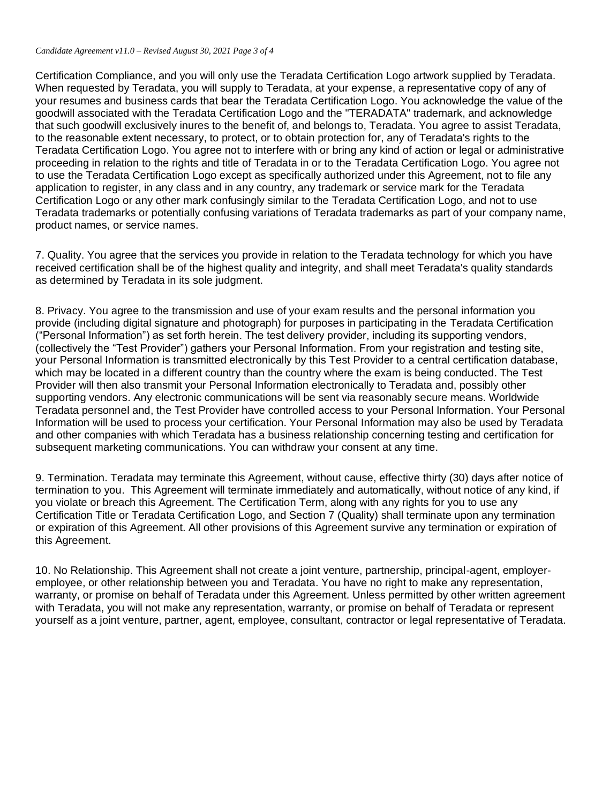Certification Compliance, and you will only use the Teradata Certification Logo artwork supplied by Teradata. When requested by Teradata, you will supply to Teradata, at your expense, a representative copy of any of your resumes and business cards that bear the Teradata Certification Logo. You acknowledge the value of the goodwill associated with the Teradata Certification Logo and the "TERADATA" trademark, and acknowledge that such goodwill exclusively inures to the benefit of, and belongs to, Teradata. You agree to assist Teradata, to the reasonable extent necessary, to protect, or to obtain protection for, any of Teradata's rights to the Teradata Certification Logo. You agree not to interfere with or bring any kind of action or legal or administrative proceeding in relation to the rights and title of Teradata in or to the Teradata Certification Logo. You agree not to use the Teradata Certification Logo except as specifically authorized under this Agreement, not to file any application to register, in any class and in any country, any trademark or service mark for the Teradata Certification Logo or any other mark confusingly similar to the Teradata Certification Logo, and not to use Teradata trademarks or potentially confusing variations of Teradata trademarks as part of your company name, product names, or service names.

7. Quality. You agree that the services you provide in relation to the Teradata technology for which you have received certification shall be of the highest quality and integrity, and shall meet Teradata's quality standards as determined by Teradata in its sole judgment.

8. Privacy. You agree to the transmission and use of your exam results and the personal information you provide (including digital signature and photograph) for purposes in participating in the Teradata Certification ("Personal Information") as set forth herein. The test delivery provider, including its supporting vendors, (collectively the "Test Provider") gathers your Personal Information. From your registration and testing site, your Personal Information is transmitted electronically by this Test Provider to a central certification database, which may be located in a different country than the country where the exam is being conducted. The Test Provider will then also transmit your Personal Information electronically to Teradata and, possibly other supporting vendors. Any electronic communications will be sent via reasonably secure means. Worldwide Teradata personnel and, the Test Provider have controlled access to your Personal Information. Your Personal Information will be used to process your certification. Your Personal Information may also be used by Teradata and other companies with which Teradata has a business relationship concerning testing and certification for subsequent marketing communications. You can withdraw your consent at any time.

9. Termination. Teradata may terminate this Agreement, without cause, effective thirty (30) days after notice of termination to you. This Agreement will terminate immediately and automatically, without notice of any kind, if you violate or breach this Agreement. The Certification Term, along with any rights for you to use any Certification Title or Teradata Certification Logo, and Section 7 (Quality) shall terminate upon any termination or expiration of this Agreement. All other provisions of this Agreement survive any termination or expiration of this Agreement.

10. No Relationship. This Agreement shall not create a joint venture, partnership, principal-agent, employeremployee, or other relationship between you and Teradata. You have no right to make any representation, warranty, or promise on behalf of Teradata under this Agreement. Unless permitted by other written agreement with Teradata, you will not make any representation, warranty, or promise on behalf of Teradata or represent yourself as a joint venture, partner, agent, employee, consultant, contractor or legal representative of Teradata.